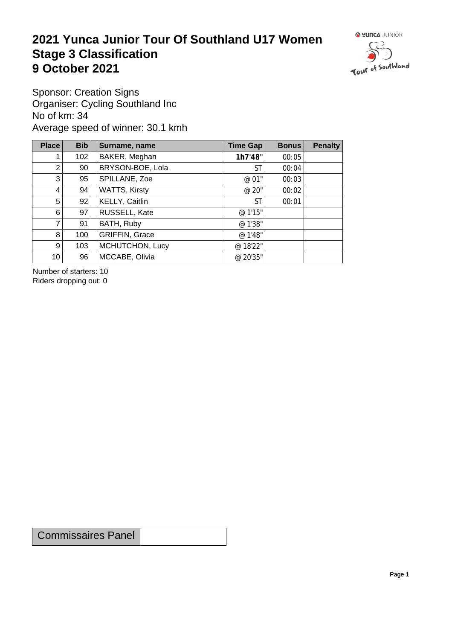## **2021 Yunca Junior Tour Of Southland U17 Women** Stage 3 Classification<br>9 October 2021 **9 October 2021**



Sponsor: Creation Signs Organiser: Cycling Southland Inc No of km: 34 Average speed of winner: 30.1 kmh

| Place           | <b>Bib</b> | Surname, name         | Time Gap | <b>Bonus</b> | <b>Penalty</b> |
|-----------------|------------|-----------------------|----------|--------------|----------------|
| 1.              | 102        | BAKER, Meghan         | 1h7'48"  | 00:05        |                |
| $\overline{2}$  | 90         | BRYSON-BOE, Lola      | ST       | 00:04        |                |
| 3 <sup>1</sup>  | 95         | SPILLANE, Zoe         | @ 01"    | 00:03        |                |
| $\vert 4 \vert$ | 94         | <b>WATTS, Kirsty</b>  | @ 20"    | 00:02        |                |
| 5 <sup>1</sup>  | 92         | KELLY, Caitlin        | ST       | 00:01        |                |
| 6               | 97         | <b>RUSSELL, Kate</b>  | @ 1'15"  |              |                |
| $\overline{7}$  | 91         | BATH, Ruby            | @ 1'38"  |              |                |
| 8               | 100        | <b>GRIFFIN, Grace</b> | @ 1'48"  |              |                |
| 9 <sup>°</sup>  | 103        | MCHUTCHON, Lucy       | @ 18'22" |              |                |
| 10 <sup>1</sup> | 96         | MCCABE, Olivia        | @ 20'35" |              |                |

Number of starters: 10 Riders dropping out: 0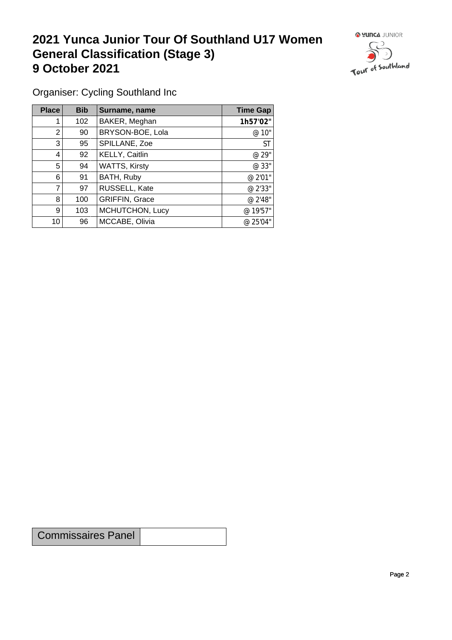## **2021 Yunca Junior Tour Of Southland U17 Women General Classification (Stage 3)**<br> **9 October 2021 9 October 2021**



Organiser: Cycling Southland Inc

| Place | <b>Bib</b> | Surname, name         | <b>Time Gap</b> |
|-------|------------|-----------------------|-----------------|
|       | 102        | BAKER, Meghan         | 1h57'02"        |
| 2     | 90         | BRYSON-BOE, Lola      | @ 10"           |
| 3     | 95         | SPILLANE, Zoe         | <b>ST</b>       |
| 4     | 92         | KELLY, Caitlin        | @ 29"           |
| 5     | 94         | <b>WATTS, Kirsty</b>  | @ 33"           |
| 6     | 91         | BATH, Ruby            | @ 2'01"         |
| 7     | 97         | RUSSELL, Kate         | @ 2'33"         |
| 8     | 100        | <b>GRIFFIN, Grace</b> | @ 2'48"         |
| 9     | 103        | MCHUTCHON, Lucy       | @ 19'57"        |
| 10    | 96         | MCCABE, Olivia        | @ 25'04"        |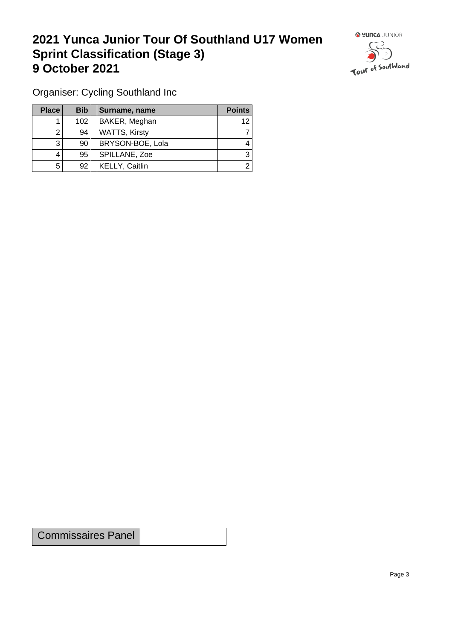## **2021 Yunca Junior Tour Of Southland U17 Women Sprint Classification (Stage 3) 9 October 2021 19 October 2021**



Organiser: Cycling Southland Inc

| <b>Place</b> | <b>Bib</b> | Surname, name        | <b>Points</b> |
|--------------|------------|----------------------|---------------|
|              | 102        | BAKER, Meghan        | 12            |
|              | 94         | <b>WATTS, Kirsty</b> |               |
| ົ            | 90         | BRYSON-BOE, Lola     |               |
|              | 95         | SPILLANE, Zoe        | 3             |
| 5            | 92         | KELLY, Caitlin       |               |